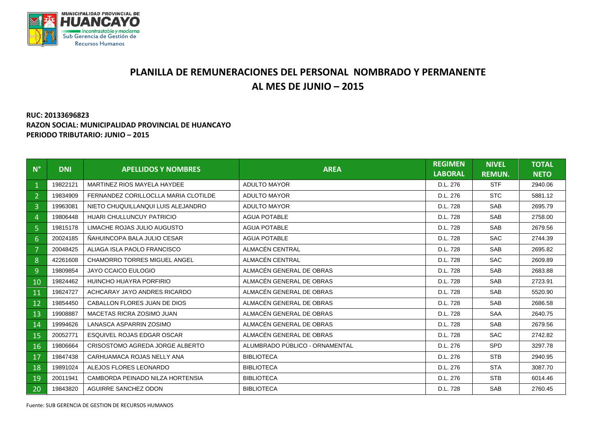

## **PLANILLA DE REMUNERACIONES DEL PERSONAL NOMBRADO Y PERMANENTE AL MES DE JUNIO – 2015**

## **RUC: 20133696823 RAZON SOCIAL: MUNICIPALIDAD PROVINCIAL DE HUANCAYO PERIODO TRIBUTARIO: JUNIO – 2015**

| $N^{\circ}$    | <b>DNI</b> | <b>APELLIDOS Y NOMBRES</b>           | <b>AREA</b>                    | <b>REGIMEN</b><br><b>LABORAL</b> | <b>NIVEL</b><br><b>REMUN.</b> | <b>TOTAL</b><br><b>NETO</b> |
|----------------|------------|--------------------------------------|--------------------------------|----------------------------------|-------------------------------|-----------------------------|
| $\mathbf{1}$   | 19822121   | MARTINEZ RIOS MAYELA HAYDEE          | ADULTO MAYOR                   | D.L. 276                         | <b>STF</b>                    | 2940.06                     |
| $\overline{2}$ | 19834909   | FERNANDEZ CORILLOCLLA MARIA CLOTILDE | <b>ADULTO MAYOR</b>            | D.L. 276                         | STC                           | 5881.12                     |
| 3              | 19963081   | NIETO CHUQUILLANQUI LUIS ALEJANDRO   | <b>ADULTO MAYOR</b>            | D.L. 728                         | <b>SAB</b>                    | 2695.79                     |
| 4              | 19806448   | HUARI CHULLUNCUY PATRICIO            | <b>AGUA POTABLE</b>            | D.L. 728                         | <b>SAB</b>                    | 2758.00                     |
| 5 <sup>1</sup> | 19815178   | LIMACHE ROJAS JULIO AUGUSTO          | <b>AGUA POTABLE</b>            | D.L. 728                         | <b>SAB</b>                    | 2679.56                     |
| 6              | 20024185   | NAHUINCOPA BALA JULIO CESAR          | <b>AGUA POTABLE</b>            | D.L. 728                         | <b>SAC</b>                    | 2744.39                     |
| $\overline{7}$ | 20048425   | ALIAGA ISLA PAOLO FRANCISCO          | ALMACÉN CENTRAL                | D.L. 728                         | <b>SAB</b>                    | 2695.82                     |
| 8              | 42261608   | <b>CHAMORRO TORRES MIGUEL ANGEL</b>  | ALMACÉN CENTRAL                | D.L. 728                         | <b>SAC</b>                    | 2609.89                     |
| 9              | 19809854   | JAYO CCAICO EULOGIO                  | ALMACÉN GENERAL DE OBRAS       | D.L. 728                         | <b>SAB</b>                    | 2683.88                     |
| 10             | 19824462   | HUINCHO HUAYRA PORFIRIO              | ALMACÉN GENERAL DE OBRAS       | D.L. 728                         | <b>SAB</b>                    | 2723.91                     |
| 11             | 19824727   | ACHCARAY JAYO ANDRES RICARDO         | ALMACÉN GENERAL DE OBRAS       | D.L. 728                         | SAB                           | 5520.90                     |
| 12             | 19854450   | CABALLON FLORES JUAN DE DIOS         | ALMACÉN GENERAL DE OBRAS       | D.L. 728                         | <b>SAB</b>                    | 2686.58                     |
| 13             | 19908887   | MACETAS RICRA ZOSIMO JUAN            | ALMACÉN GENERAL DE OBRAS       | D.L. 728                         | <b>SAA</b>                    | 2640.75                     |
| 14             | 19994626   | LANASCA ASPARRIN ZOSIMO              | ALMACÉN GENERAL DE OBRAS       | D.L. 728                         | <b>SAB</b>                    | 2679.56                     |
| 15             | 20052771   | <b>ESQUIVEL ROJAS EDGAR OSCAR</b>    | ALMACÉN GENERAL DE OBRAS       | D.L. 728                         | <b>SAC</b>                    | 2742.82                     |
| 16             | 19806664   | CRISOSTOMO AGREDA JORGE ALBERTO      | ALUMBRADO PÚBLICO - ORNAMENTAL | D.L. 276                         | SPD                           | 3297.78                     |
| 17             | 19847438   | CARHUAMACA ROJAS NELLY ANA           | <b>BIBLIOTECA</b>              | D.L. 276                         | <b>STB</b>                    | 2940.95                     |
| 18             | 19891024   | ALEJOS FLORES LEONARDO               | <b>BIBLIOTECA</b>              | D.L. 276                         | <b>STA</b>                    | 3087.70                     |
| 19             | 20011941   | CAMBORDA PEINADO NILZA HORTENSIA     | <b>BIBLIOTECA</b>              | D.L. 276                         | <b>STB</b>                    | 6014.46                     |
| 20             | 19843820   | AGUIRRE SANCHEZ ODON                 | <b>BIBLIOTECA</b>              | D.L. 728                         | <b>SAB</b>                    | 2760.45                     |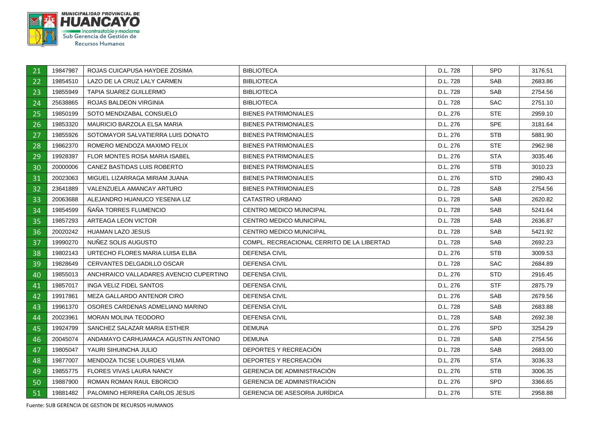

| 21 | 19847987 | ROJAS CUICAPUSA HAYDEE ZOSIMA           | <b>BIBLIOTECA</b>                          | D.L. 728 | <b>SPD</b> | 3176.51 |
|----|----------|-----------------------------------------|--------------------------------------------|----------|------------|---------|
| 22 | 19854510 | LAZO DE LA CRUZ LALY CARMEN             | <b>BIBLIOTECA</b>                          | D.L. 728 | <b>SAB</b> | 2683.86 |
| 23 | 19855949 | TAPIA SUAREZ GUILLERMO                  | <b>BIBLIOTECA</b>                          | D.L. 728 | <b>SAB</b> | 2754.56 |
| 24 | 25638865 | ROJAS BALDEON VIRGINIA                  | <b>BIBLIOTECA</b>                          | D.L. 728 | <b>SAC</b> | 2751.10 |
| 25 | 19850199 | SOTO MENDIZABAL CONSUELO                | <b>BIENES PATRIMONIALES</b>                | D.L. 276 | <b>STE</b> | 2959.10 |
| 26 | 19853320 | MAURICIO BARZOLA ELSA MARIA             | <b>BIENES PATRIMONIALES</b>                | D.L. 276 | <b>SPE</b> | 3181.64 |
| 27 | 19855926 | SOTOMAYOR SALVATIERRA LUIS DONATO       | <b>BIENES PATRIMONIALES</b>                | D.L. 276 | STB        | 5881.90 |
| 28 | 19862370 | ROMERO MENDOZA MAXIMO FELIX             | <b>BIENES PATRIMONIALES</b>                | D.L. 276 | <b>STE</b> | 2962.98 |
| 29 | 19928397 | FLOR MONTES ROSA MARIA ISABEL           | <b>BIENES PATRIMONIALES</b>                | D.L. 276 | <b>STA</b> | 3035.46 |
| 30 | 20000006 | CANEZ BASTIDAS LUIS ROBERTO             | <b>BIENES PATRIMONIALES</b>                | D.L. 276 | <b>STB</b> | 3010.23 |
| 31 | 20023063 | MIGUEL LIZARRAGA MIRIAM JUANA           | <b>BIENES PATRIMONIALES</b>                | D.L. 276 | STD.       | 2980.43 |
| 32 | 23641889 | VALENZUELA AMANCAY ARTURO               | <b>BIENES PATRIMONIALES</b>                | D.L. 728 | SAB        | 2754.56 |
| 33 | 20063688 | ALEJANDRO HUANUCO YESENIA LIZ           | CATASTRO URBANO                            | D.L. 728 | <b>SAB</b> | 2620.82 |
| 34 | 19854599 | NANA TORRES FLUMENCIO                   | <b>CENTRO MEDICO MUNICIPAL</b>             | D.L. 728 | <b>SAB</b> | 5241.64 |
| 35 | 19857293 | ARTEAGA LEON VICTOR                     | <b>CENTRO MEDICO MUNICIPAL</b>             | D.L. 728 | <b>SAB</b> | 2636.87 |
| 36 | 20020242 | HUAMAN LAZO JESUS                       | CENTRO MEDICO MUNICIPAL                    | D.L. 728 | <b>SAB</b> | 5421.92 |
| 37 | 19990270 | NUÑEZ SOLIS AUGUSTO                     | COMPL. RECREACIONAL CERRITO DE LA LIBERTAD | D.L. 728 | <b>SAB</b> | 2692.23 |
| 38 | 19802143 | URTECHO FLORES MARIA LUISA ELBA         | <b>DEFENSA CIVIL</b>                       | D.L. 276 | <b>STB</b> | 3009.53 |
| 39 | 19828649 | CERVANTES DELGADILLO OSCAR              | <b>DEFENSA CIVIL</b>                       | D.L. 728 | <b>SAC</b> | 2684.89 |
| 40 | 19855013 | ANCHIRAICO VALLADARES AVENCIO CUPERTINO | <b>DEFENSA CIVIL</b>                       | D.L. 276 | <b>STD</b> | 2916.45 |
| 41 | 19857017 | INGA VELIZ FIDEL SANTOS                 | <b>DEFENSA CIVIL</b>                       | D.L. 276 | <b>STF</b> | 2875.79 |
| 42 | 19917861 | MEZA GALLARDO ANTENOR CIRO              | DEFENSA CIVIL                              | D.L. 276 | SAB        | 2679.56 |
| 43 | 19961370 | OSORES CARDENAS ADMELIANO MARINO        | <b>DEFENSA CIVIL</b>                       | D.L. 728 | <b>SAB</b> | 2683.88 |
| 44 | 20023961 | MORAN MOLINA TEODORO                    | DEFENSA CIVIL                              | D.L. 728 | <b>SAB</b> | 2692.38 |
| 45 | 19924799 | SANCHEZ SALAZAR MARIA ESTHER            | <b>DEMUNA</b>                              | D.L. 276 | <b>SPD</b> | 3254.29 |
| 46 | 20045074 | ANDAMAYO CARHUAMACA AGUSTIN ANTONIO     | <b>DEMUNA</b>                              | D.L. 728 | <b>SAB</b> | 2754.56 |
| 47 | 19805047 | YAURI SIHUINCHA JULIO                   | DEPORTES Y RECREACIÓN                      | D.L. 728 | <b>SAB</b> | 2683.00 |
| 48 | 19877007 | MENDOZA TICSE LOURDES VILMA             | DEPORTES Y RECREACIÓN                      | D.L. 276 | STA        | 3036.33 |
| 49 | 19855775 | <b>FLORES VIVAS LAURA NANCY</b>         | <b>GERENCIA DE ADMINISTRACIÓN</b>          | D.L. 276 | <b>STB</b> | 3006.35 |
| 50 | 19887900 | ROMAN ROMAN RAUL EBORCIO                | <b>GERENCIA DE ADMINISTRACIÓN</b>          | D.L. 276 | <b>SPD</b> | 3366.65 |
| 51 | 19881482 | PALOMINO HERRERA CARLOS JESUS           | <b>GERENCIA DE ASESORIA JURÍDICA</b>       | D.L. 276 | <b>STE</b> | 2958.88 |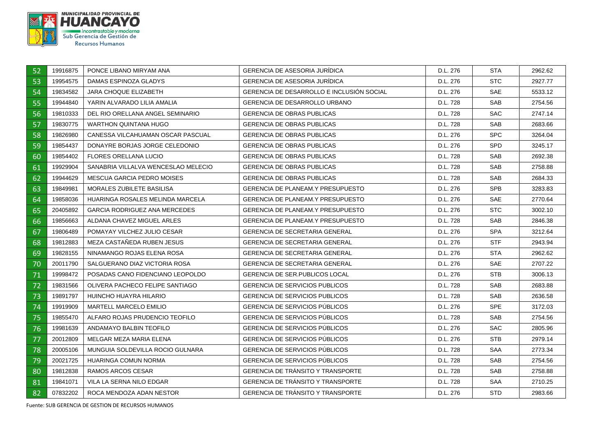

| 52 | 19916875 | PONCE LIBANO MIRYAM ANA              | <b>GERENCIA DE ASESORIA JURIDICA</b>      | D.L. 276 | STA        | 2962.62 |
|----|----------|--------------------------------------|-------------------------------------------|----------|------------|---------|
| 53 | 19954575 | DAMAS ESPINOZA GLADYS                | <b>GERENCIA DE ASESORIA JURÍDICA</b>      | D.L. 276 | <b>STC</b> | 2927.77 |
| 54 | 19834582 | <b>JARA CHOQUE ELIZABETH</b>         | GERENCIA DE DESARROLLO E INCLUSIÓN SOCIAL | D.L. 276 | <b>SAE</b> | 5533.12 |
| 55 | 19944840 | YARIN ALVARADO LILIA AMALIA          | <b>GERENCIA DE DESARROLLO URBANO</b>      | D.L. 728 | <b>SAB</b> | 2754.56 |
| 56 | 19810333 | DEL RIO ORELLANA ANGEL SEMINARIO     | <b>GERENCIA DE OBRAS PUBLICAS</b>         | D.L. 728 | <b>SAC</b> | 2747.14 |
| 57 | 19830775 | WARTHON QUINTANA HUGO                | <b>GERENCIA DE OBRAS PUBLICAS</b>         | D.L. 728 | <b>SAB</b> | 2683.66 |
| 58 | 19826980 | CANESSA VILCAHUAMAN OSCAR PASCUAL    | <b>GERENCIA DE OBRAS PUBLICAS</b>         | D.L. 276 | <b>SPC</b> | 3264.04 |
| 59 | 19854437 | DONAYRE BORJAS JORGE CELEDONIO       | <b>GERENCIA DE OBRAS PUBLICAS</b>         | D.L. 276 | <b>SPD</b> | 3245.17 |
| 60 | 19854402 | <b>FLORES ORELLANA LUCIO</b>         | <b>GERENCIA DE OBRAS PUBLICAS</b>         | D.L. 728 | <b>SAB</b> | 2692.38 |
| 61 | 19929904 | SANABRIA VILLALVA WENCESLAO MELECIO  | <b>GERENCIA DE OBRAS PUBLICAS</b>         | D.L. 728 | <b>SAB</b> | 2758.88 |
| 62 | 19944629 | <b>MESCUA GARCIA PEDRO MOISES</b>    | <b>GERENCIA DE OBRAS PUBLICAS</b>         | D.L. 728 | <b>SAB</b> | 2684.33 |
| 63 | 19849981 | MORALES ZUBILETE BASILISA            | <b>GERENCIA DE PLANEAM Y PRESUPUESTO</b>  | D.L. 276 | <b>SPB</b> | 3283.83 |
| 64 | 19858036 | HUARINGA ROSALES MELINDA MARCELA     | <b>GERENCIA DE PLANEAM.Y PRESUPUESTO</b>  | D.L. 276 | SAE        | 2770.64 |
| 65 | 20405892 | <b>GARCIA RODRIGUEZ ANA MERCEDES</b> | <b>GERENCIA DE PLANEAM Y PRESUPUESTO</b>  | D.L. 276 | STC.       | 3002.10 |
| 66 | 19856663 | ALDANA CHAVEZ MIGUEL ARLES           | GERENCIA DE PLANEAM Y PRESUPUESTO         | D.L. 728 | <b>SAB</b> | 2846.38 |
| 67 | 19806489 | POMAYAY VILCHEZ JULIO CESAR          | GERENCIA DE SECRETARIA GENERAL            | D.L. 276 | <b>SPA</b> | 3212.64 |
| 68 | 19812883 | MEZA CASTAÑEDA RUBEN JESUS           | <b>GERENCIA DE SECRETARIA GENERAL</b>     | D.L. 276 | STF.       | 2943.94 |
| 69 | 19828155 | NINAMANGO ROJAS ELENA ROSA           | <b>GERENCIA DE SECRETARIA GENERAL</b>     | D.L. 276 | STA        | 2962.62 |
| 70 | 20011790 | SALGUERANO DIAZ VICTORIA ROSA        | <b>GERENCIA DE SECRETARIA GENERAL</b>     | D.L. 276 | <b>SAE</b> | 2707.22 |
| 71 | 19998472 | POSADAS CANO FIDENCIANO LEOPOLDO     | <b>GERENCIA DE SER PUBLICOS LOCAL</b>     | D.L. 276 | <b>STB</b> | 3006.13 |
| 72 | 19831566 | OLIVERA PACHECO FELIPE SANTIAGO      | <b>GERENCIA DE SERVICIOS PUBLICOS</b>     | D.L. 728 | <b>SAB</b> | 2683.88 |
| 73 | 19891797 | HUINCHO HUAYRA HILARIO               | <b>GERENCIA DE SERVICIOS PUBLICOS</b>     | D.L. 728 | <b>SAB</b> | 2636.58 |
| 74 | 19919909 | <b>MARTELL MARCELO EMILIO</b>        | <b>GERENCIA DE SERVICIOS PUBLICOS</b>     | D.L. 276 | <b>SPE</b> | 3172.03 |
| 75 | 19855470 | ALFARO ROJAS PRUDENCIO TEOFILO       | <b>GERENCIA DE SERVICIOS PUBLICOS</b>     | D.L. 728 | <b>SAB</b> | 2754.56 |
| 76 | 19981639 | ANDAMAYO BALBIN TEOFILO              | <b>GERENCIA DE SERVICIOS PUBLICOS</b>     | D.L. 276 | <b>SAC</b> | 2805.96 |
| 77 | 20012809 | MELGAR MEZA MARIA ELENA              | <b>GERENCIA DE SERVICIOS PUBLICOS</b>     | D.L. 276 | <b>STB</b> | 2979.14 |
| 78 | 20005106 | MUNGUIA SOLDEVILLA ROCIO GULNARA     | <b>GERENCIA DE SERVICIOS PUBLICOS</b>     | D.L. 728 | <b>SAA</b> | 2773.34 |
| 79 | 20021725 | HUARINGA COMUN NORMA                 | <b>GERENCIA DE SERVICIOS PUBLICOS</b>     | D.L. 728 | SAB        | 2754.56 |
| 80 | 19812838 | RAMOS ARCOS CESAR                    | <b>GERENCIA DE TRANSITO Y TRANSPORTE</b>  | D.L. 728 | <b>SAB</b> | 2758.88 |
| 81 | 19841071 | VILA LA SERNA NILO EDGAR             | <b>GERENCIA DE TRÁNSITO Y TRANSPORTE</b>  | D.L. 728 | <b>SAA</b> | 2710.25 |
| 82 | 07832202 | ROCA MENDOZA ADAN NESTOR             | <b>GERENCIA DE TRANSITO Y TRANSPORTE</b>  | D.L. 276 | <b>STD</b> | 2983.66 |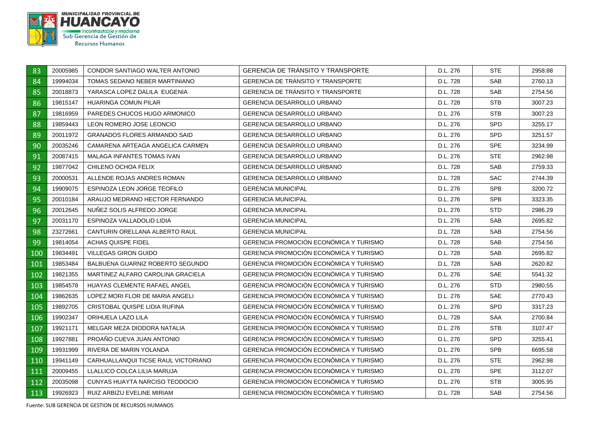

| 83  | 20005985 | CONDOR SANTIAGO WALTER ANTONIO      | <b>GERENCIA DE TRANSITO Y TRANSPORTE</b>      | D.L. 276 | <b>STE</b> | 2958.88 |
|-----|----------|-------------------------------------|-----------------------------------------------|----------|------------|---------|
| 84  | 19994034 | TOMAS SEDANO NEBER MARTINIANO       | <b>GERENCIA DE TRANSITO Y TRANSPORTE</b>      | D.L. 728 | <b>SAB</b> | 2760.13 |
| 85  | 20018873 | YARASCA LOPEZ DALILA EUGENIA        | GERENCIA DE TRÁNSITO Y TRANSPORTE             | D.L. 728 | <b>SAB</b> | 2754.56 |
| 86  | 19815147 | <b>HUARINGA COMUN PILAR</b>         | <b>GERENCIA DESARROLLO URBANO</b>             | D.L. 728 | <b>STB</b> | 3007.23 |
| 87  | 19816959 | PAREDES CHUCOS HUGO ARMONICO        | <b>GERENCIA DESARROLLO URBANO</b>             | D.L. 276 | STB        | 3007.23 |
| 88  | 19859443 | LEON ROMERO JOSE LEONCIO            | <b>GERENCIA DESARROLLO URBANO</b>             | D.L. 276 | <b>SPD</b> | 3255.17 |
| 89  | 20011972 | <b>GRANADOS FLORES ARMANDO SAID</b> | <b>GERENCIA DESARROLLO URBANO</b>             | D.L. 276 | <b>SPD</b> | 3251.57 |
| 90  | 20035246 | CAMARENA ARTEAGA ANGELICA CARMEN    | <b>GERENCIA DESARROLLO URBANO</b>             | D.L. 276 | <b>SPE</b> | 3234.99 |
| 91  | 20087415 | MALAGA INFANTES TOMAS IVAN          | <b>GERENCIA DESARROLLO URBANO</b>             | D.L. 276 | <b>STE</b> | 2962.98 |
| 92  | 19877042 | CHILENO OCHOA FELIX                 | GERENCIA DESARROLLO URBANO                    | D.L. 728 | SAB        | 2759.33 |
| 93  | 20000531 | ALLENDE ROJAS ANDRES ROMAN          | <b>GERENCIA DESARROLLO URBANO</b>             | D.L. 728 | <b>SAC</b> | 2744.39 |
| 94  | 19909075 | ESPINOZA LEON JORGE TEOFILO         | <b>GERENCIA MUNICIPAL</b>                     | D.L. 276 | <b>SPB</b> | 3200.72 |
| 95  | 20010184 | ARAUJO MEDRANO HECTOR FERNANDO      | <b>GERENCIA MUNICIPAL</b>                     | D.L. 276 | <b>SPB</b> | 3323.35 |
| 96  | 20012645 | NUÑEZ SOLIS ALFREDO JORGE           | <b>GERENCIA MUNICIPAL</b>                     | D.L. 276 | <b>STD</b> | 2986.29 |
| 97  | 20031170 | ESPINOZA VALLADOLID LIDIA           | <b>GERENCIA MUNICIPAL</b>                     | D.L. 276 | <b>SAB</b> | 2695.82 |
| 98  | 23272661 | CANTURIN ORELLANA ALBERTO RAUL      | <b>GERENCIA MUNICIPAL</b>                     | D.L. 728 | SAB        | 2754.56 |
| 99  | 19814054 | ACHAS QUISPE FIDEL                  | GERENCIA PROMOCIÓN ECONÓMICA Y TURISMO        | D.L. 728 | <b>SAB</b> | 2754.56 |
| 100 | 19834491 | <b>VILLEGAS GIRON GUIDO</b>         | <b>GERENCIA PROMOCIÓN ECONÓMICA Y TURISMO</b> | D.L. 728 | SAB        | 2695.82 |
| 101 | 19853484 | BALBUENA GUARNIZ ROBERTO SEGUNDO    | GERENCIA PROMOCIÓN ECONÓMICA Y TURISMO        | D.L. 728 | <b>SAB</b> | 2620.82 |
| 102 | 19821355 | MARTINEZ ALFARO CAROLINA GRACIELA   | <b>GERENCIA PROMOCIÓN ECONÓMICA Y TURISMO</b> | D.L. 276 | <b>SAE</b> | 5541.32 |
| 103 | 19854578 | HUAYAS CLEMENTE RAFAEL ANGEL        | GERENCIA PROMOCIÓN ECONÓMICA Y TURISMO        | D.L. 276 | <b>STD</b> | 2980.55 |
| 104 | 19862635 | LOPEZ MORI FLOR DE MARIA ANGELI     | GERENCIA PROMOCIÓN ECONÓMICA Y TURISMO        | D.L. 276 | <b>SAE</b> | 2770.43 |
| 105 | 19892705 | CRISTOBAL QUISPE LIDIA RUFINA       | <b>GERENCIA PROMOCIÓN ECONÓMICA Y TURISMO</b> | D.L. 276 | <b>SPD</b> | 3317.23 |
| 106 | 19902347 | ORIHUELA LAZO LILA                  | <b>GERENCIA PROMOCIÓN ECONÓMICA Y TURISMO</b> | D.L. 728 | SAA        | 2700.84 |
| 107 | 19921171 | MELGAR MEZA DIODORA NATALIA         | GERENCIA PROMOCIÓN ECONÓMICA Y TURISMO        | D.L. 276 | <b>STB</b> | 3107.47 |
| 108 | 19927881 | PROANO CUEVA JUAN ANTONIO           | <b>GERENCIA PROMOCIÓN ECONÓMICA Y TURISMO</b> | D.L. 276 | <b>SPD</b> | 3255.41 |
| 109 | 19931999 | RIVERA DE MARIN YOLANDA             | GERENCIA PROMOCIÓN ECONÓMICA Y TURISMO        | D.L. 276 | <b>SPB</b> | 6695.58 |
| 110 | 19941149 | CARHUALLANQUI TICSE RAUL VICTORIANO | <b>GERENCIA PROMOCIÓN ECONÓMICA Y TURISMO</b> | D.L. 276 | <b>STE</b> | 2962.98 |
| 111 | 20009455 | LLALLICO COLCA LILIA MARUJA         | <b>GERENCIA PROMOCIÓN ECONÓMICA Y TURISMO</b> | D.L. 276 | <b>SPE</b> | 3112.07 |
| 112 | 20035098 | CUNYAS HUAYTA NARCISO TEODOCIO      | GERENCIA PROMOCIÓN ECONÓMICA Y TURISMO        | D.L. 276 | STB        | 3005.95 |
| 113 | 19926923 | RUIZ ARBIZU EVELINE MIRIAM          | GERENCIA PROMOCIÓN ECONÓMICA Y TURISMO        | D.L. 728 | <b>SAB</b> | 2754.56 |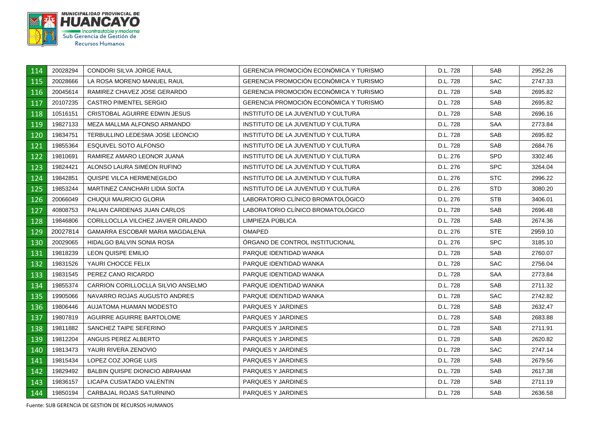

| 114 | 20028294 | <b>CONDORI SILVA JORGE RAUL</b>       | <b>GERENCIA PROMOCIÓN ECONÓMICA Y TURISMO</b> | D.L. 728 | <b>SAB</b> | 2952.26 |
|-----|----------|---------------------------------------|-----------------------------------------------|----------|------------|---------|
| 115 | 20028666 | LA ROSA MORENO MANUEL RAUL            | <b>GERENCIA PROMOCIÓN ECONÓMICA Y TURISMO</b> | D.L. 728 | <b>SAC</b> | 2747.33 |
| 116 | 20045614 | RAMIREZ CHAVEZ JOSE GERARDO           | GERENCIA PROMOCIÓN ECONÓMICA Y TURISMO        | D.L. 728 | <b>SAB</b> | 2695.82 |
| 117 | 20107235 | <b>CASTRO PIMENTEL SERGIO</b>         | <b>GERENCIA PROMOCIÓN ECONÓMICA Y TURISMO</b> | D.L. 728 | <b>SAB</b> | 2695.82 |
| 118 | 10516151 | CRISTOBAL AGUIRRE EDWIN JESUS         | INSTITUTO DE LA JUVENTUD Y CULTURA            | D.L. 728 | <b>SAB</b> | 2696.16 |
| 119 | 19827133 | MEZA MALLMA ALFONSO ARMANDO           | INSTITUTO DE LA JUVENTUD Y CULTURA            | D.L. 728 | SAA        | 2773.84 |
| 120 | 19834751 | TERBULLINO LEDESMA JOSE LEONCIO       | INSTITUTO DE LA JUVENTUD Y CULTURA            | D.L. 728 | <b>SAB</b> | 2695.82 |
| 121 | 19855364 | <b>ESQUIVEL SOTO ALFONSO</b>          | INSTITUTO DE LA JUVENTUD Y CULTURA            | D.L. 728 | <b>SAB</b> | 2684.76 |
| 122 | 19810691 | RAMIREZ AMARO LEONOR JUANA            | INSTITUTO DE LA JUVENTUD Y CULTURA            | D.L. 276 | <b>SPD</b> | 3302.46 |
| 123 | 19824421 | ALONSO LAURA SIMEON RUFINO            | INSTITUTO DE LA JUVENTUD Y CULTURA            | D.L. 276 | <b>SPC</b> | 3264.04 |
| 124 | 19842851 | QUISPE VILCA HERMENEGILDO             | INSTITUTO DE LA JUVENTUD Y CULTURA            | D.L. 276 | <b>STC</b> | 2996.22 |
| 125 | 19853244 | MARTINEZ CANCHARI LIDIA SIXTA         | INSTITUTO DE LA JUVENTUD Y CULTURA            | D.L. 276 | <b>STD</b> | 3080.20 |
| 126 | 20066049 | CHUQUI MAURICIO GLORIA                | LABORATORIO CLÍNICO BROMATOLÓGICO             | D.L. 276 | <b>STB</b> | 3406.01 |
| 127 | 40808753 | PALIAN CARDENAS JUAN CARLOS           | LABORATORIO CLÍNICO BROMATOLÓGICO             | D.L. 728 | <b>SAB</b> | 2696.48 |
| 128 | 19846806 | CORILLOCLLA VILCHEZ JAVIER ORLANDO    | LIMPIEZA PÚBLICA                              | D.L. 728 | <b>SAB</b> | 2674.36 |
| 129 | 20027814 | GAMARRA ESCOBAR MARIA MAGDALENA       | <b>OMAPED</b>                                 | D.L. 276 | STE.       | 2959.10 |
| 130 | 20029065 | HIDALGO BALVIN SONIA ROSA             | ORGANO DE CONTROL INSTITUCIONAL               | D.L. 276 | <b>SPC</b> | 3185.10 |
| 131 | 19818239 | LEON QUISPE EMILIO                    | PARQUE IDENTIDAD WANKA                        | D.L. 728 | SAB        | 2760.07 |
| 132 | 19831526 | YAURI CHOCCE FELIX                    | PARQUE IDENTIDAD WANKA                        | D.L. 728 | <b>SAC</b> | 2756.04 |
| 133 | 19831545 | PEREZ CANO RICARDO                    | PARQUE IDENTIDAD WANKA                        | D.L. 728 | SAA        | 2773.84 |
| 134 | 19855374 | CARRION CORILLOCLLA SILVIO ANSELMO    | PARQUE IDENTIDAD WANKA                        | D.L. 728 | <b>SAB</b> | 2711.32 |
| 135 | 19905066 | NAVARRO ROJAS AUGUSTO ANDRES          | PARQUE IDENTIDAD WANKA                        | D.L. 728 | <b>SAC</b> | 2742.82 |
| 136 | 19806446 | AUJATOMA HUAMAN MODESTO               | PARQUES Y JARDINES                            | D.L. 728 | <b>SAB</b> | 2632.47 |
| 137 | 19807819 | AGUIRRE AGUIRRE BARTOLOME             | PARQUES Y JARDINES                            | D.L. 728 | <b>SAB</b> | 2683.88 |
| 138 | 19811882 | SANCHEZ TAIPE SEFERINO                | PARQUES Y JARDINES                            | D.L. 728 | <b>SAB</b> | 2711.91 |
| 139 | 19812204 | ANGUIS PEREZ ALBERTO                  | PARQUES Y JARDINES                            | D.L. 728 | <b>SAB</b> | 2620.82 |
| 140 | 19813473 | YAURI RIVERA ZENOVIO                  | PARQUES Y JARDINES                            | D.L. 728 | <b>SAC</b> | 2747.14 |
| 141 | 19815434 | LOPEZ COZ JORGE LUIS                  | PARQUES Y JARDINES                            | D.L. 728 | <b>SAB</b> | 2679.56 |
| 142 | 19829492 | <b>BALBIN QUISPE DIONICIO ABRAHAM</b> | PARQUES Y JARDINES                            | D.L. 728 | SAB        | 2617.38 |
| 143 | 19836157 | LICAPA CUSIATADO VALENTIN             | PARQUES Y JARDINES                            | D.L. 728 | <b>SAB</b> | 2711.19 |
| 144 | 19850194 | CARBAJAL ROJAS SATURNINO              | PARQUES Y JARDINES                            | D.L. 728 | <b>SAB</b> | 2636.58 |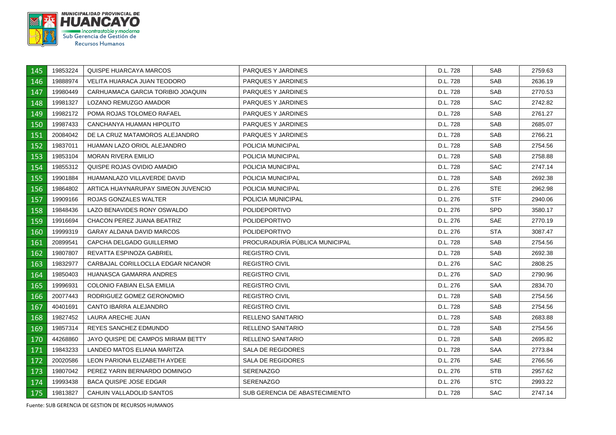

| 145 | 19853224 | <b>QUISPE HUARCAYA MARCOS</b>      | PARQUES Y JARDINES             | D.L. 728 | <b>SAB</b> | 2759.63 |
|-----|----------|------------------------------------|--------------------------------|----------|------------|---------|
| 146 | 19888974 | VELITA HUARACA JUAN TEODORO        | PARQUES Y JARDINES             | D.L. 728 | <b>SAB</b> | 2636.19 |
| 147 | 19980449 | CARHUAMACA GARCIA TORIBIO JOAQUIN  | PARQUES Y JARDINES             | D.L. 728 | SAB        | 2770.53 |
| 148 | 19981327 | LOZANO REMUZGO AMADOR              | PARQUES Y JARDINES             | D.L. 728 | <b>SAC</b> | 2742.82 |
| 149 | 19982172 | POMA ROJAS TOLOMEO RAFAEL          | PARQUES Y JARDINES             | D.L. 728 | <b>SAB</b> | 2761.27 |
| 150 | 19987433 | CANCHANYA HUAMAN HIPOLITO          | PARQUES Y JARDINES             | D.L. 728 | <b>SAB</b> | 2685.07 |
| 151 | 20084042 | DE LA CRUZ MATAMOROS ALEJANDRO     | PARQUES Y JARDINES             | D.L. 728 | SAB        | 2766.21 |
| 152 | 19837011 | HUAMAN LAZO ORIOL ALEJANDRO        | POLICIA MUNICIPAL              | D.L. 728 | <b>SAB</b> | 2754.56 |
| 153 | 19853104 | <b>MORAN RIVERA EMILIO</b>         | POLICIA MUNICIPAL              | D.L. 728 | <b>SAB</b> | 2758.88 |
| 154 | 19855312 | QUISPE ROJAS OVIDIO AMADIO         | POLICIA MUNICIPAL              | D.L. 728 | <b>SAC</b> | 2747.14 |
| 155 | 19901884 | HUAMANLAZO VILLAVERDE DAVID        | POLICIA MUNICIPAL              | D.L. 728 | <b>SAB</b> | 2692.38 |
| 156 | 19864802 | ARTICA HUAYNARUPAY SIMEON JUVENCIO | POLICIA MUNICIPAL              | D.L. 276 | <b>STE</b> | 2962.98 |
| 157 | 19909166 | ROJAS GONZALES WALTER              | POLICIA MUNICIPAL              | D.L. 276 | <b>STF</b> | 2940.06 |
| 158 | 19848436 | LAZO BENAVIDES RONY OSWALDO        | <b>POLIDEPORTIVO</b>           | D.L. 276 | SPD        | 3580.17 |
| 159 | 19916694 | CHACON PEREZ JUANA BEATRIZ         | <b>POLIDEPORTIVO</b>           | D.L. 276 | <b>SAE</b> | 2770.19 |
| 160 | 19999319 | GARAY ALDANA DAVID MARCOS          | <b>POLIDEPORTIVO</b>           | D.L. 276 | <b>STA</b> | 3087.47 |
| 161 | 20899541 | CAPCHA DELGADO GUILLERMO           | PROCURADURÍA PÚBLICA MUNICIPAL | D.L. 728 | <b>SAB</b> | 2754.56 |
| 162 | 19807807 | REVATTA ESPINOZA GABRIEL           | <b>REGISTRO CIVIL</b>          | D.L. 728 | <b>SAB</b> | 2692.38 |
| 163 | 19832977 | CARBAJAL CORILLOCLLA EDGAR NICANOR | <b>REGISTRO CIVIL</b>          | D.L. 276 | SAC        | 2808.25 |
| 164 | 19850403 | <b>HUANASCA GAMARRA ANDRES</b>     | <b>REGISTRO CIVIL</b>          | D.L. 276 | SAD        | 2790.96 |
| 165 | 19996931 | <b>COLONIO FABIAN ELSA EMILIA</b>  | <b>REGISTRO CIVIL</b>          | D.L. 276 | <b>SAA</b> | 2834.70 |
| 166 | 20077443 | RODRIGUEZ GOMEZ GERONOMIO          | <b>REGISTRO CIVIL</b>          | D.L. 728 | <b>SAB</b> | 2754.56 |
| 167 | 40401691 | CANTO IBARRA ALEJANDRO             | <b>REGISTRO CIVIL</b>          | D.L. 728 | SAB        | 2754.56 |
| 168 | 19827452 | LAURA ARECHE JUAN                  | RELLENO SANITARIO              | D.L. 728 | SAB        | 2683.88 |
| 169 | 19857314 | REYES SANCHEZ EDMUNDO              | <b>RELLENO SANITARIO</b>       | D.L. 728 | <b>SAB</b> | 2754.56 |
| 170 | 44268860 | JAYO QUISPE DE CAMPOS MIRIAM BETTY | RELLENO SANITARIO              | D.L. 728 | <b>SAB</b> | 2695.82 |
| 171 | 19843233 | LANDEO MATOS ELIANA MARITZA        | SALA DE REGIDORES              | D.L. 728 | SAA        | 2773.84 |
| 172 | 20020586 | LEON PARIONA ELIZABETH AYDEE       | SALA DE REGIDORES              | D.L. 276 | SAE        | 2766.56 |
| 173 | 19807042 | PEREZ YARIN BERNARDO DOMINGO       | SERENAZGO                      | D.L. 276 | STB        | 2957.62 |
| 174 | 19993438 | <b>BACA QUISPE JOSE EDGAR</b>      | <b>SERENAZGO</b>               | D.L. 276 | <b>STC</b> | 2993.22 |
| 175 | 19813827 | CAHUIN VALLADOLID SANTOS           | SUB GERENCIA DE ABASTECIMIENTO | D.L. 728 | <b>SAC</b> | 2747.14 |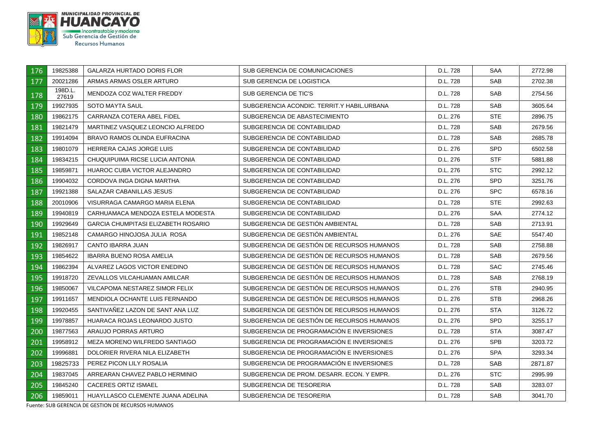

| 176 | 19825388         | <b>GALARZA HURTADO DORIS FLOR</b>          | SUB GERENCIA DE COMUNICACIONES             | D.L. 728 | SAA        | 2772.98 |
|-----|------------------|--------------------------------------------|--------------------------------------------|----------|------------|---------|
| 177 | 20021286         | ARMAS ARMAS OSLER ARTURO                   | SUB GERENCIA DE LOGISTICA                  | D.L. 728 | <b>SAB</b> | 2702.38 |
| 178 | 198D.L.<br>27619 | MENDOZA COZ WALTER FREDDY                  | SUB GERENCIA DE TIC'S                      | D.L. 728 | <b>SAB</b> | 2754.56 |
| 179 | 19927935         | <b>SOTO MAYTA SAUL</b>                     | SUBGERENCIA ACONDIC. TERRIT.Y HABIL.URBANA | D.L. 728 | <b>SAB</b> | 3605.64 |
| 180 | 19862175         | CARRANZA COTERA ABEL FIDEL                 | SUBGERENCIA DE ABASTECIMIENTO              | D.L. 276 | <b>STE</b> | 2896.75 |
| 181 | 19821479         | MARTINEZ VASQUEZ LEONCIO ALFREDO           | SUBGERENCIA DE CONTABILIDAD                | D.L. 728 | <b>SAB</b> | 2679.56 |
| 182 | 19914094         | BRAVO RAMOS OLINDA EUFRACINA               | SUBGERENCIA DE CONTABILIDAD                | D.L. 728 | <b>SAB</b> | 2685.78 |
| 183 | 19801079         | HERRERA CAJAS JORGE LUIS                   | SUBGERENCIA DE CONTABILIDAD                | D.L. 276 | <b>SPD</b> | 6502.58 |
| 184 | 19834215         | CHUQUIPUIMA RICSE LUCIA ANTONIA            | SUBGERENCIA DE CONTABILIDAD                | D.L. 276 | <b>STF</b> | 5881.88 |
| 185 | 19859871         | HUAROC CUBA VICTOR ALEJANDRO               | SUBGERENCIA DE CONTABILIDAD                | D.L. 276 | <b>STC</b> | 2992.12 |
| 186 | 19904032         | CORDOVA INGA DIGNA MARTHA                  | SUBGERENCIA DE CONTABILIDAD                | D.L. 276 | <b>SPD</b> | 3251.76 |
| 187 | 19921388         | SALAZAR CABANILLAS JESUS                   | SUBGERENCIA DE CONTABILIDAD                | D.L. 276 | <b>SPC</b> | 6578.16 |
| 188 | 20010906         | VISURRAGA CAMARGO MARIA ELENA              | SUBGERENCIA DE CONTABILIDAD                | D.L. 728 | <b>STE</b> | 2992.63 |
| 189 | 19940819         | CARHUAMACA MENDOZA ESTELA MODESTA          | SUBGERENCIA DE CONTABILIDAD                | D.L. 276 | <b>SAA</b> | 2774.12 |
| 190 | 19929649         | <b>GARCIA CHUMPITASI ELIZABETH ROSARIO</b> | SUBGERENCIA DE GESTIÓN AMBIENTAL           | D.L. 728 | SAB        | 2713.91 |
| 191 | 19852148         | CAMARGO HINOJOSA JULIA ROSA                | SUBGERENCIA DE GESTION AMBIENTAL           | D.L. 276 | SAE        | 5547.40 |
| 192 | 19826917         | CANTO IBARRA JUAN                          | SUBGERENCIA DE GESTIÓN DE RECURSOS HUMANOS | D.L. 728 | <b>SAB</b> | 2758.88 |
| 193 | 19854622         | <b>IBARRA BUENO ROSA AMELIA</b>            | SUBGERENCIA DE GESTIÓN DE RECURSOS HUMANOS | D.L. 728 | <b>SAB</b> | 2679.56 |
| 194 | 19862394         | ALVAREZ LAGOS VICTOR ENEDINO               | SUBGERENCIA DE GESTION DE RECURSOS HUMANOS | D.L. 728 | <b>SAC</b> | 2745.46 |
| 195 | 19918720         | ZEVALLOS VILCAHUAMAN AMILCAR               | SUBGERENCIA DE GESTIÓN DE RECURSOS HUMANOS | D.L. 728 | <b>SAB</b> | 2768.19 |
| 196 | 19850067         | VILCAPOMA NESTAREZ SIMOR FELIX             | SUBGERENCIA DE GESTIÓN DE RECURSOS HUMANOS | D.L. 276 | <b>STB</b> | 2940.95 |
| 197 | 19911657         | MENDIOLA OCHANTE LUIS FERNANDO             | SUBGERENCIA DE GESTIÓN DE RECURSOS HUMANOS | D.L. 276 | STB        | 2968.26 |
| 198 | 19920455         | SANTIVAÑEZ LAZON DE SANT ANA LUZ           | SUBGERENCIA DE GESTIÓN DE RECURSOS HUMANOS | D.L. 276 | STA        | 3126.72 |
| 199 | 19978857         | HUARACA ROJAS LEONARDO JUSTO               | SUBGERENCIA DE GESTIÓN DE RECURSOS HUMANOS | D.L. 276 | <b>SPD</b> | 3255.17 |
| 200 | 19877563         | ARAUJO PORRAS ARTURO                       | SUBGERENCIA DE PROGRAMACIÓN E INVERSIONES  | D.L. 728 | <b>STA</b> | 3087.47 |
| 201 | 19958912         | MEZA MORENO WILFREDO SANTIAGO              | SUBGERENCIA DE PROGRAMACIÓN E INVERSIONES  | D.L. 276 | <b>SPB</b> | 3203.72 |
| 202 | 19996881         | DOLORIER RIVERA NILA ELIZABETH             | SUBGERENCIA DE PROGRAMACIÓN E INVERSIONES  | D.L. 276 | <b>SPA</b> | 3293.34 |
| 203 | 19825733         | PEREZ PICON LILY ROSALIA                   | SUBGERENCIA DE PROGRAMACIÓN E INVERSIONES  | D.L. 728 | <b>SAB</b> | 2871.87 |
| 204 | 19837045         | ARREARAN CHAVEZ PABLO HERMINIO             | SUBGERENCIA DE PROM. DESARR. ECON. Y EMPR. | D.L. 276 | STC.       | 2995.99 |
| 205 | 19845240         | <b>CACERES ORTIZ ISMAEL</b>                | SUBGERENCIA DE TESORERIA                   | D.L. 728 | SAB        | 3283.07 |
| 206 | 19859011         | HUAYLLASCO CLEMENTE JUANA ADELINA          | SUBGERENCIA DE TESORERIA                   | D.L. 728 | <b>SAB</b> | 3041.70 |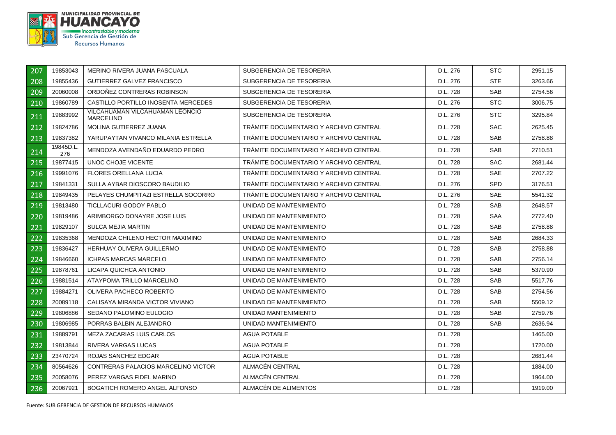

| 207 | 19853043         | MERINO RIVERA JUANA PASCUALA                        | SUBGERENCIA DE TESORERIA               | D.L. 276 | <b>STC</b> | 2951.15 |
|-----|------------------|-----------------------------------------------------|----------------------------------------|----------|------------|---------|
| 208 | 19855436         | <b>GUTIERREZ GALVEZ FRANCISCO</b>                   | SUBGERENCIA DE TESORERIA               | D.L. 276 | <b>STE</b> | 3263.66 |
| 209 | 20060008         | ORDOÑEZ CONTRERAS ROBINSON                          | SUBGERENCIA DE TESORERIA               | D.L. 728 | <b>SAB</b> | 2754.56 |
| 210 | 19860789         | CASTILLO PORTILLO INOSENTA MERCEDES                 | SUBGERENCIA DE TESORERIA               | D.L. 276 | <b>STC</b> | 3006.75 |
| 211 | 19883992         | VILCAHUAMAN VILCAHUAMAN LEONCIO<br><b>MARCELINO</b> | SUBGERENCIA DE TESORERIA               | D.L. 276 | STC.       | 3295.84 |
| 212 | 19824786         | MOLINA GUTIERREZ JUANA                              | TRAMITE DOCUMENTARIO Y ARCHIVO CENTRAL | D.L. 728 | <b>SAC</b> | 2625.45 |
| 213 | 19837382         | YARUPAYTAN VIVANCO MILANIA ESTRELLA                 | TRAMITE DOCUMENTARIO Y ARCHIVO CENTRAL | D.L. 728 | <b>SAB</b> | 2758.88 |
| 214 | 19845D.L.<br>276 | MENDOZA AVENDAÑO EDUARDO PEDRO                      | TRAMITE DOCUMENTARIO Y ARCHIVO CENTRAL | D.L. 728 | <b>SAB</b> | 2710.51 |
| 215 | 19877415         | UNOC CHOJE VICENTE                                  | TRAMITE DOCUMENTARIO Y ARCHIVO CENTRAL | D.L. 728 | <b>SAC</b> | 2681.44 |
| 216 | 19991076         | <b>FLORES ORELLANA LUCIA</b>                        | TRAMITE DOCUMENTARIO Y ARCHIVO CENTRAL | D.L. 728 | <b>SAE</b> | 2707.22 |
| 217 | 19841331         | SULLA AYBAR DIOSCORO BAUDILIO                       | TRÁMITE DOCUMENTARIO Y ARCHIVO CENTRAL | D.L. 276 | SPD        | 3176.51 |
| 218 | 19849435         | PELAYES CHUMPITAZI ESTRELLA SOCORRO                 | TRAMITE DOCUMENTARIO Y ARCHIVO CENTRAL | D.L. 276 | <b>SAE</b> | 5541.32 |
| 219 | 19813480         | TICLLACURI GODOY PABLO                              | UNIDAD DE MANTENIMIENTO                | D.L. 728 | <b>SAB</b> | 2648.57 |
| 220 | 19819486         | ARIMBORGO DONAYRE JOSE LUIS                         | UNIDAD DE MANTENIMIENTO                | D.L. 728 | SAA        | 2772.40 |
| 221 | 19829107         | SULCA MEJIA MARTIN                                  | UNIDAD DE MANTENIMIENTO                | D.L. 728 | <b>SAB</b> | 2758.88 |
| 222 | 19835368         | MENDOZA CHILENO HECTOR MAXIMINO                     | UNIDAD DE MANTENIMIENTO                | D.L. 728 | <b>SAB</b> | 2684.33 |
| 223 | 19836427         | <b>HERHUAY OLIVERA GUILLERMO</b>                    | UNIDAD DE MANTENIMIENTO                | D.L. 728 | <b>SAB</b> | 2758.88 |
| 224 | 19846660         | <b>ICHPAS MARCAS MARCELO</b>                        | UNIDAD DE MANTENIMIENTO                | D.L. 728 | <b>SAB</b> | 2756.14 |
| 225 | 19878761         | LICAPA QUICHCA ANTONIO                              | UNIDAD DE MANTENIMIENTO                | D.L. 728 | SAB        | 5370.90 |
| 226 | 19881514         | ATAYPOMA TRILLO MARCELINO                           | UNIDAD DE MANTENIMIENTO                | D.L. 728 | <b>SAB</b> | 5517.76 |
| 227 | 19884271         | OLIVERA PACHECO ROBERTO                             | UNIDAD DE MANTENIMIENTO                | D.L. 728 | <b>SAB</b> | 2754.56 |
| 228 | 20089118         | CALISAYA MIRANDA VICTOR VIVIANO                     | UNIDAD DE MANTENIMIENTO                | D.L. 728 | <b>SAB</b> | 5509.12 |
| 229 | 19806886         | SEDANO PALOMINO EULOGIO                             | UNIDAD MANTENIMIENTO                   | D.L. 728 | <b>SAB</b> | 2759.76 |
| 230 | 19806985         | PORRAS BALBIN ALEJANDRO                             | UNIDAD MANTENIMIENTO                   | D.L. 728 | SAB        | 2636.94 |
| 231 | 19889791         | MEZA ZACARIAS LUIS CARLOS                           | AGUA POTABLE                           | D.L. 728 |            | 1465.00 |
| 232 | 19813844         | RIVERA VARGAS LUCAS                                 | <b>AGUA POTABLE</b>                    | D.L. 728 |            | 1720.00 |
| 233 | 23470724         | ROJAS SANCHEZ EDGAR                                 | AGUA POTABLE                           | D.L. 728 |            | 2681.44 |
| 234 | 80564626         | CONTRERAS PALACIOS MARCELINO VICTOR                 | ALMACEN CENTRAL                        | D.L. 728 |            | 1884.00 |
| 235 | 20058076         | PEREZ VARGAS FIDEL MARINO                           | ALMACÉN CENTRAL                        | D.L. 728 |            | 1964.00 |
| 236 | 20067921         | BOGATICH ROMERO ANGEL ALFONSO                       | ALMACÉN DE ALIMENTOS                   | D.L. 728 |            | 1919.00 |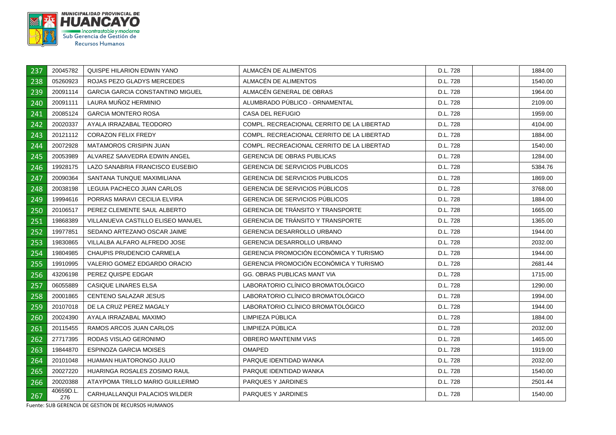

| 237 | 20045782         | QUISPE HILARION EDWIN YANO              | ALMACEN DE ALIMENTOS                          | D.L. 728 | 1884.00 |
|-----|------------------|-----------------------------------------|-----------------------------------------------|----------|---------|
| 238 | 05260923         | ROJAS PEZO GLADYS MERCEDES              | ALMACEN DE ALIMENTOS                          | D.L. 728 | 1540.00 |
| 239 | 20091114         | <b>GARCIA GARCIA CONSTANTINO MIGUEL</b> | ALMACÉN GENERAL DE OBRAS                      | D.L. 728 | 1964.00 |
| 240 | 20091111         | LAURA MUÑOZ HERMINIO                    | ALUMBRADO PÚBLICO - ORNAMENTAL                | D.L. 728 | 2109.00 |
| 241 | 20085124         | <b>GARCIA MONTERO ROSA</b>              | <b>CASA DEL REFUGIO</b>                       | D.L. 728 | 1959.00 |
| 242 | 20020337         | AYALA IRRAZABAL TEODORO                 | COMPL. RECREACIONAL CERRITO DE LA LIBERTAD    | D.L. 728 | 4104.00 |
| 243 | 20121112         | <b>CORAZON FELIX FREDY</b>              | COMPL. RECREACIONAL CERRITO DE LA LIBERTAD    | D.L. 728 | 1884.00 |
| 244 | 20072928         | <b>MATAMOROS CRISIPIN JUAN</b>          | COMPL. RECREACIONAL CERRITO DE LA LIBERTAD    | D.L. 728 | 1540.00 |
| 245 | 20053989         | ALVAREZ SAAVEDRA EDWIN ANGEL            | <b>GERENCIA DE OBRAS PUBLICAS</b>             | D.L. 728 | 1284.00 |
| 246 | 19928175         | LAZO SANABRIA FRANCISCO EUSEBIO         | <b>GERENCIA DE SERVICIOS PUBLICOS</b>         | D.L. 728 | 5384.76 |
| 247 | 20090364         | SANTANA TUNQUE MAXIMILIANA              | <b>GERENCIA DE SERVICIOS PUBLICOS</b>         | D.L. 728 | 1869.00 |
| 248 | 20038198         | LEGUIA PACHECO JUAN CARLOS              | <b>GERENCIA DE SERVICIOS PUBLICOS</b>         | D.L. 728 | 3768.00 |
| 249 | 19994616         | PORRAS MARAVI CECILIA ELVIRA            | <b>GERENCIA DE SERVICIOS PÚBLICOS</b>         | D.L. 728 | 1884.00 |
| 250 | 20106517         | PEREZ CLEMENTE SAUL ALBERTO             | <b>GERENCIA DE TRANSITO Y TRANSPORTE</b>      | D.L. 728 | 1665.00 |
| 251 | 19868389         | VILLANUEVA CASTILLO ELISEO MANUEL       | <b>GERENCIA DE TRANSITO Y TRANSPORTE</b>      | D.L. 728 | 1365.00 |
| 252 | 19977851         | SEDANO ARTEZANO OSCAR JAIME             | <b>GERENCIA DESARROLLO URBANO</b>             | D.L. 728 | 1944.00 |
| 253 | 19830865         | VILLALBA ALFARO ALFREDO JOSE            | <b>GERENCIA DESARROLLO URBANO</b>             | D.L. 728 | 2032.00 |
| 254 | 19804985         | <b>CHAUPIS PRUDENCIO CARMELA</b>        | <b>GERENCIA PROMOCIÓN ECONÓMICA Y TURISMO</b> | D.L. 728 | 1944.00 |
| 255 | 19910995         | VALERIO GOMEZ EDGARDO ORACIO            | GERENCIA PROMOCIÓN ECONÓMICA Y TURISMO        | D.L. 728 | 2681.44 |
| 256 | 43206198         | PEREZ QUISPE EDGAR                      | GG. OBRAS PUBLICAS MANT VIA                   | D.L. 728 | 1715.00 |
| 257 | 06055889         | CASIQUE LINARES ELSA                    | LABORATORIO CLÍNICO BROMATOLÓGICO             | D.L. 728 | 1290.00 |
| 258 | 20001865         | <b>CENTENO SALAZAR JESUS</b>            | LABORATORIO CLÍNICO BROMATOLÓGICO             | D.L. 728 | 1994.00 |
| 259 | 20107018         | DE LA CRUZ PEREZ MAGALY                 | LABORATORIO CLÍNICO BROMATOLÓGICO             | D.L. 728 | 1944.00 |
| 260 | 20024390         | AYALA IRRAZABAL MAXIMO                  | LIMPIEZA PUBLICA                              | D.L. 728 | 1884.00 |
| 261 | 20115455         | RAMOS ARCOS JUAN CARLOS                 | LIMPIEZA PÚBLICA                              | D.L. 728 | 2032.00 |
| 262 | 27717395         | RODAS VISLAO GERONIMO                   | <b>OBRERO MANTENIM VIAS</b>                   | D.L. 728 | 1465.00 |
| 263 | 19844870         | <b>ESPINOZA GARCIA MOISES</b>           | <b>OMAPED</b>                                 | D.L. 728 | 1919.00 |
| 264 | 20101048         | HUAMAN HUATORONGO JULIO                 | PARQUE IDENTIDAD WANKA                        | D.L. 728 | 2032.00 |
| 265 | 20027220         | HUARINGA ROSALES ZOSIMO RAUL            | PARQUE IDENTIDAD WANKA                        | D.L. 728 | 1540.00 |
| 266 | 20020388         | ATAYPOMA TRILLO MARIO GUILLERMO         | PARQUES Y JARDINES                            | D.L. 728 | 2501.44 |
| 267 | 40659D.L.<br>276 | CARHUALLANQUI PALACIOS WILDER           | PARQUES Y JARDINES                            | D.L. 728 | 1540.00 |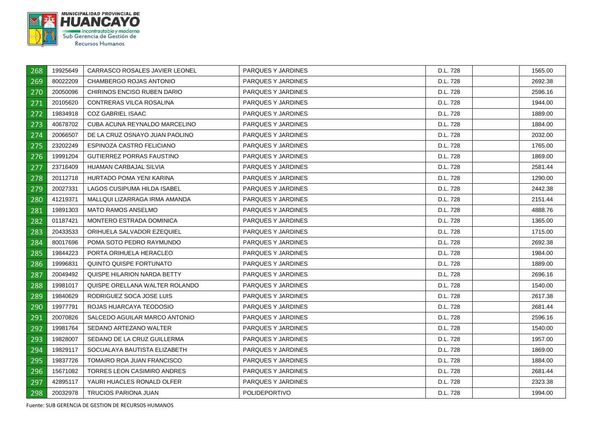

| 268 | 19925649 | CARRASCO ROSALES JAVIER LEONEL     | PARQUES Y JARDINES   | D.L. 728 | 1565.00 |
|-----|----------|------------------------------------|----------------------|----------|---------|
| 269 | 80022209 | CHAMBERGO ROJAS ANTONIO            | PARQUES Y JARDINES   | D.L. 728 | 2692.38 |
| 270 | 20050096 | CHIRINOS ENCISO RUBEN DARIO        | PARQUES Y JARDINES   | D.L. 728 | 2596.16 |
| 271 | 20105620 | CONTRERAS VILCA ROSALINA           | PARQUES Y JARDINES   | D.L. 728 | 1944.00 |
| 272 | 19834918 | <b>COZ GABRIEL ISAAC</b>           | PARQUES Y JARDINES   | D.L. 728 | 1889.00 |
| 273 | 40678702 | CUBA ACUNA REYNALDO MARCELINO      | PARQUES Y JARDINES   | D.L. 728 | 1884.00 |
| 274 | 20066507 | DE LA CRUZ OSNAYO JUAN PAOLINO     | PARQUES Y JARDINES   | D.L. 728 | 2032.00 |
| 275 | 23202249 | ESPINOZA CASTRO FELICIANO          | PARQUES Y JARDINES   | D.L. 728 | 1765.00 |
| 276 | 19991204 | <b>GUTIERREZ PORRAS FAUSTINO</b>   | PARQUES Y JARDINES   | D.L. 728 | 1869.00 |
| 277 | 23716409 | HUAMAN CARBAJAL SILVIA             | PARQUES Y JARDINES   | D.L. 728 | 2581.44 |
| 278 | 20112718 | HURTADO POMA YENI KARINA           | PARQUES Y JARDINES   | D.L. 728 | 1290.00 |
| 279 | 20027331 | LAGOS CUSIPUMA HILDA ISABEL        | PARQUES Y JARDINES   | D.L. 728 | 2442.38 |
| 280 | 41219371 | MALLQUI LIZARRAGA IRMA AMANDA      | PARQUES Y JARDINES   | D.L. 728 | 2151.44 |
| 281 | 19891303 | <b>MATO RAMOS ANSELMO</b>          | PARQUES Y JARDINES   | D.L. 728 | 4888.76 |
| 282 | 01187421 | MONTERO ESTRADA DOMINICA           | PARQUES Y JARDINES   | D.L. 728 | 1365.00 |
| 283 | 20433533 | ORIHUELA SALVADOR EZEQUIEL         | PARQUES Y JARDINES   | D.L. 728 | 1715.00 |
| 284 | 80017696 | POMA SOTO PEDRO RAYMUNDO           | PARQUES Y JARDINES   | D.L. 728 | 2692.38 |
| 285 | 19844223 | PORTA ORIHUELA HERACLEO            | PARQUES Y JARDINES   | D.L. 728 | 1984.00 |
| 286 | 19996831 | QUINTO QUISPE FORTUNATO            | PARQUES Y JARDINES   | D.L. 728 | 1889.00 |
| 287 | 20049492 | QUISPE HILARION NARDA BETTY        | PARQUES Y JARDINES   | D.L. 728 | 2696.16 |
| 288 | 19981017 | QUISPE ORELLANA WALTER ROLANDO     | PARQUES Y JARDINES   | D.L. 728 | 1540.00 |
| 289 | 19840629 | RODRIGUEZ SOCA JOSE LUIS           | PARQUES Y JARDINES   | D.L. 728 | 2617.38 |
| 290 | 19977791 | ROJAS HUARCAYA TEODOSIO            | PARQUES Y JARDINES   | D.L. 728 | 2681.44 |
| 291 | 20070826 | SALCEDO AGUILAR MARCO ANTONIO      | PARQUES Y JARDINES   | D.L. 728 | 2596.16 |
| 292 | 19981764 | SEDANO ARTEZANO WALTER             | PARQUES Y JARDINES   | D.L. 728 | 1540.00 |
| 293 | 19828007 | SEDANO DE LA CRUZ GUILLERMA        | PARQUES Y JARDINES   | D.L. 728 | 1957.00 |
| 294 | 19829117 | SOCUALAYA BAUTISTA ELIZABETH       | PARQUES Y JARDINES   | D.L. 728 | 1869.00 |
| 295 | 19837726 | TOMAIRO ROA JUAN FRANCISCO         | PARQUES Y JARDINES   | D.L. 728 | 1884.00 |
| 296 | 15671082 | <b>TORRES LEON CASIMIRO ANDRES</b> | PARQUES Y JARDINES   | D.L. 728 | 2681.44 |
| 297 | 42895117 | YAURI HUACLES RONALD OLFER         | PARQUES Y JARDINES   | D.L. 728 | 2323.38 |
| 298 | 20032978 | <b>TRUCIOS PARIONA JUAN</b>        | <b>POLIDEPORTIVO</b> | D.L. 728 | 1994.00 |